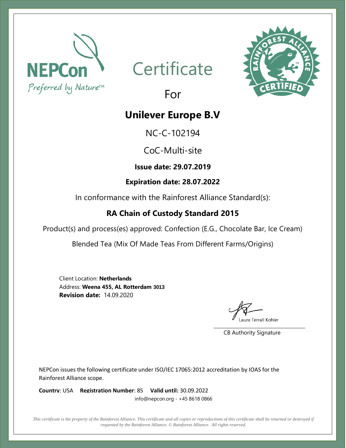

## **Certificate**



## For

### **Unilever Europe B.V**

NC-C-102194

CoC-Multi-site

**Issue date: 29.07.2019**

#### **Expiration date: 28.07.2022**

In conformance with the Rainforest Alliance Standard(s):

#### **RA Chain of Custody Standard 2015**

Product(s) and process(es) approved: Confection (E.G., Chocolate Bar, Ice Cream)

Blended Tea (Mix Of Made Teas From Different Farms/Origins)

Client Location: **Netherlands** Address: **Weena 455, AL Rotterdam 3013 Revision date:** 14.09.2020

aura Terrall Kohler

CB Authority Signature

NEPCon issues the following certificate under ISO/IEC 17065:2012 accreditation by IOAS for the Rainforest Alliance scope.

**Country**: USA **Registration Number**: 85 **Valid until:** 30.09.2022 info@nepcon.org - +45 8618 0866

*This certificate is the property of the Rainforest Alliance. This certificate and all copies or reproductions of this certificate shall be returned or destroyed if requested by the Rainforest Alliance. © Rainforest Alliance. All rights reserved.*